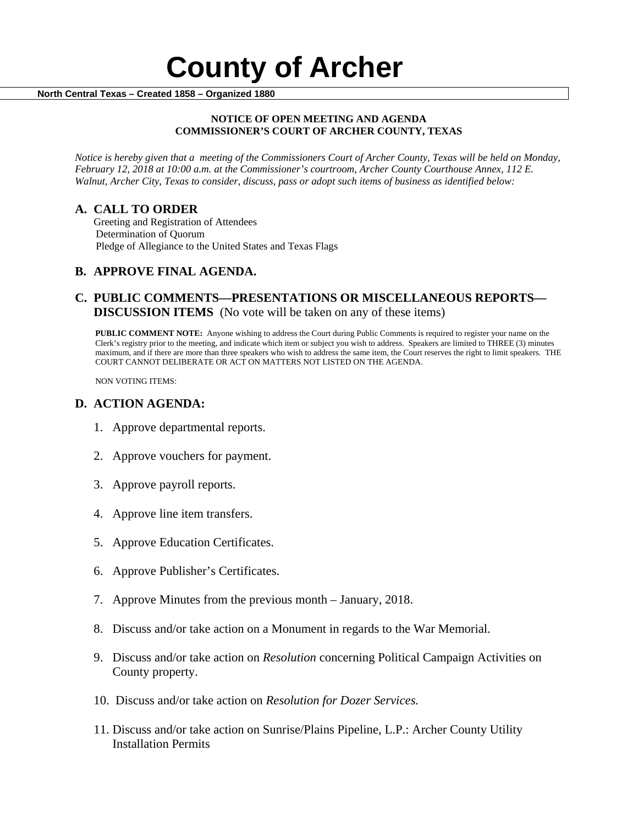# **County of Archer And County of Archer North Central Texas – Created 1858 – Organized 1880**

#### **NOTICE OF OPEN MEETING AND AGENDA COMMISSIONER'S COURT OF ARCHER COUNTY, TEXAS**

*Notice is hereby given that a meeting of the Commissioners Court of Archer County, Texas will be held on Monday, February 12, 2018 at 10:00 a.m. at the Commissioner's courtroom, Archer County Courthouse Annex, 112 E. Walnut, Archer City, Texas to consider, discuss, pass or adopt such items of business as identified below:*

**A. CALL TO ORDER** Greeting and Registration of Attendees Determination of Quorum Pledge of Allegiance to the United States and Texas Flags

## **B. APPROVE FINAL AGENDA.**

## **C. PUBLIC COMMENTS—PRESENTATIONS OR MISCELLANEOUS REPORTS— DISCUSSION ITEMS** (No vote will be taken on any of these items)

**PUBLIC COMMENT NOTE:** Anyone wishing to address the Court during Public Comments is required to register your name on the Clerk's registry prior to the meeting, and indicate which item or subject you wish to address. Speakers are limited to THREE (3) minutes maximum, and if there are more than three speakers who wish to address the same item, the Court reserves the right to limit speakers. THE COURT CANNOT DELIBERATE OR ACT ON MATTERS NOT LISTED ON THE AGENDA.

NON VOTING ITEMS:

#### **D. ACTION AGENDA:**

- 1. Approve departmental reports.
- 2. Approve vouchers for payment.
- 3. Approve payroll reports.
- 4. Approve line item transfers.
- 5. Approve Education Certificates.
- 6. Approve Publisher's Certificates.
- 7. Approve Minutes from the previous month January, 2018.
- 8. Discuss and/or take action on a Monument in regards to the War Memorial.
- 9. Discuss and/or take action on *Resolution* concerning Political Campaign Activities on County property.
- 10. Discuss and/or take action on *Resolution for Dozer Services.*
- 11. Discuss and/or take action on Sunrise/Plains Pipeline, L.P.: Archer County Utility Installation Permits